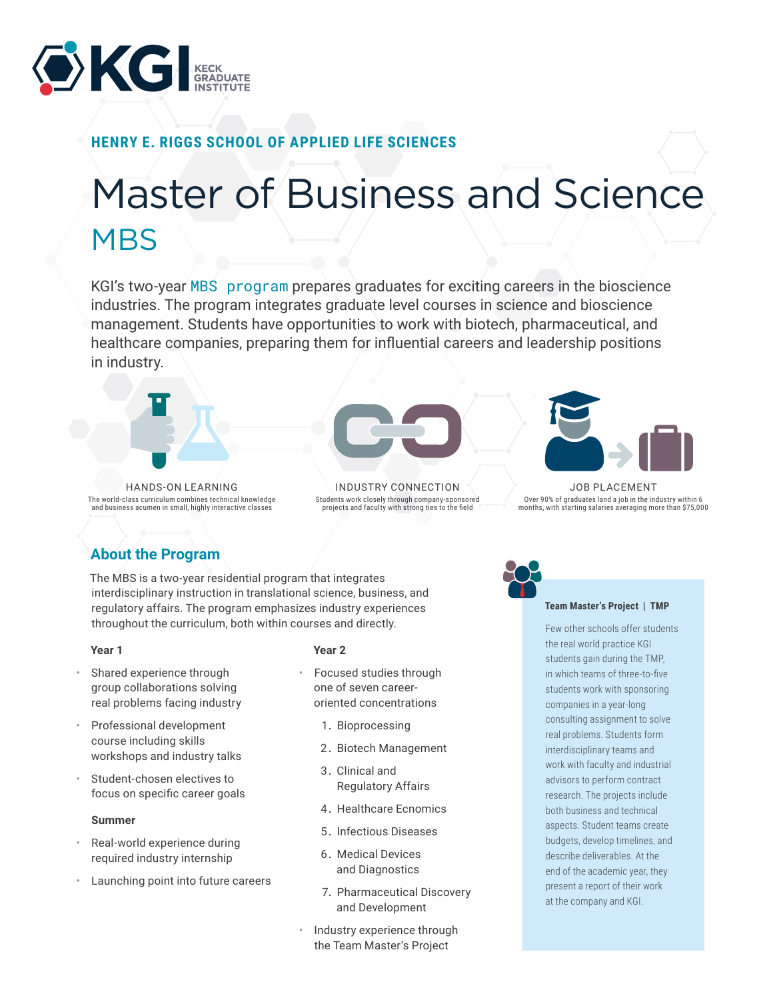

# **HENRY E. RIGGS SCHOOL OF APPLIED LIFE SCIENCES**

# Master of Business and Science **MBS**

KGI's two-year [MBS program](https://www.kgi.edu/academics/henry-e-riggs-school-of-applied-life-sciences/academic-programs/master-of-business-and-science/) prepares graduates for exciting careers in the bioscience industries. The program integrates graduate level courses in science and bioscience management. Students have opportunities to work with biotech, pharmaceutical, and healthcare companies, preparing them for influential careers and leadership positions in industry.



HANDS-ON LEARNING The world-class curriculum combines technical knowledge and business acumen in small, highly interactive classes



INDUSTRY CONNECTION Students work closely through company-sponsored projects and faculty with strong ties to the field



JOB PLACEMENT Over 90% of graduates land a job in the industry within 6 months, with starting salaries averaging more than \$75,000

# **About the Program**

The MBS is a two-year residential program that integrates interdisciplinary instruction in translational science, business, and regulatory affairs. The program emphasizes industry experiences throughout the curriculum, both within courses and directly.

## **Year 1**

- Shared experience through group collaborations solving real problems facing industry
- Professional development course including skills workshops and industry talks
- Student-chosen electives to focus on specific career goals

## **Summer**

- Real-world experience during required industry internship
- Launching point into future careers

## **Year 2**

- Focused studies through one of seven careeroriented concentrations
	- 1. Bioprocessing
	- 2. Biotech Management
	- 3. Clinical and Regulatory Affairs
	- 4. Healthcare Ecnomics
	- 5. Infectious Diseases
	- 6. Medical Devices and Diagnostics
	- 7. Pharmaceutical Discovery and Development
- Industry experience through the Team Master's Project

#### **Team Master's Project | TMP**

Few other schools offer students the real world practice KGI students gain during the TMP, in which teams of three-to-five students work with sponsoring companies in a year-long consulting assignment to solve real problems. Students form interdisciplinary teams and work with faculty and industrial advisors to perform contract research. The projects include both business and technical aspects. Student teams create budgets, develop timelines, and describe deliverables. At the end of the academic year, they present a report of their work at the company and KGI.